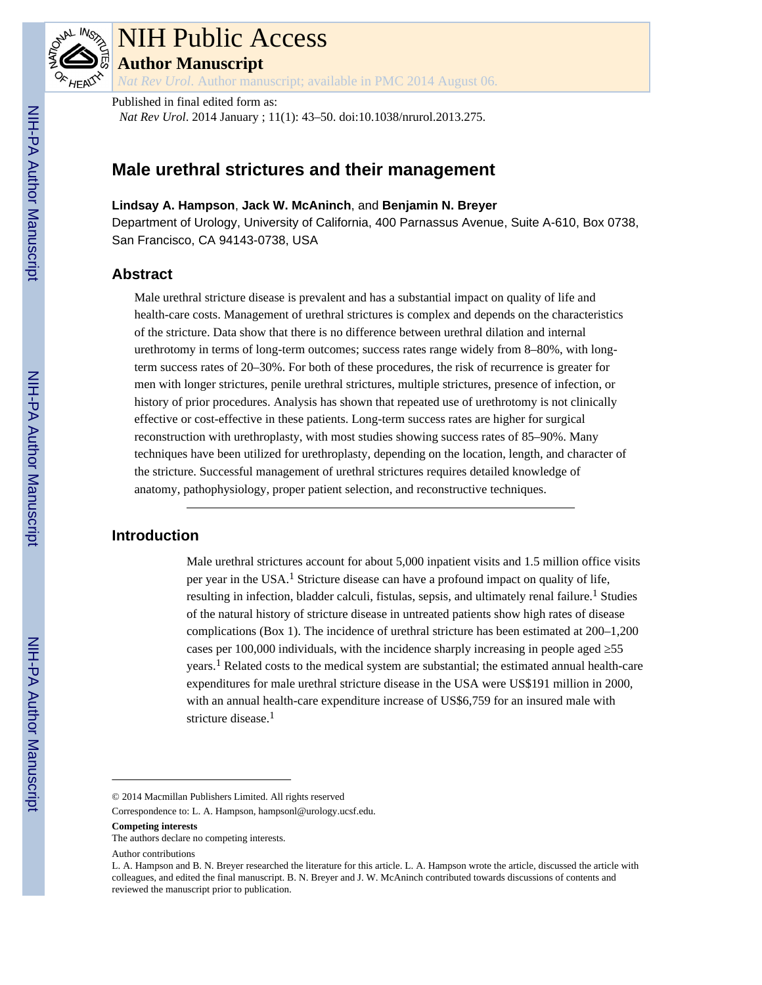

# NIH Public Access

**Author Manuscript**

*Nat Rev Urol*. Author manuscript; available in PMC 2014 August 06.

Published in final edited form as: *Nat Rev Urol*. 2014 January ; 11(1): 43–50. doi:10.1038/nrurol.2013.275.

## **Male urethral strictures and their management**

#### **Lindsay A. Hampson**, **Jack W. McAninch**, and **Benjamin N. Breyer**

Department of Urology, University of California, 400 Parnassus Avenue, Suite A-610, Box 0738, San Francisco, CA 94143-0738, USA

## **Abstract**

Male urethral stricture disease is prevalent and has a substantial impact on quality of life and health-care costs. Management of urethral strictures is complex and depends on the characteristics of the stricture. Data show that there is no difference between urethral dilation and internal urethrotomy in terms of long-term outcomes; success rates range widely from 8–80%, with longterm success rates of 20–30%. For both of these procedures, the risk of recurrence is greater for men with longer strictures, penile urethral strictures, multiple strictures, presence of infection, or history of prior procedures. Analysis has shown that repeated use of urethrotomy is not clinically effective or cost-effective in these patients. Long-term success rates are higher for surgical reconstruction with urethroplasty, with most studies showing success rates of 85–90%. Many techniques have been utilized for urethroplasty, depending on the location, length, and character of the stricture. Successful management of urethral strictures requires detailed knowledge of anatomy, pathophysiology, proper patient selection, and reconstructive techniques.

## **Introduction**

Male urethral strictures account for about 5,000 inpatient visits and 1.5 million office visits per year in the USA.<sup>1</sup> Stricture disease can have a profound impact on quality of life, resulting in infection, bladder calculi, fistulas, sepsis, and ultimately renal failure.<sup>1</sup> Studies of the natural history of stricture disease in untreated patients show high rates of disease complications (Box 1). The incidence of urethral stricture has been estimated at 200–1,200 cases per 100,000 individuals, with the incidence sharply increasing in people aged 55 years.<sup>1</sup> Related costs to the medical system are substantial; the estimated annual health-care expenditures for male urethral stricture disease in the USA were US\$191 million in 2000, with an annual health-care expenditure increase of US\$6,759 for an insured male with stricture disease.<sup>1</sup>

**Competing interests**

Author contributions

<sup>© 2014</sup> Macmillan Publishers Limited. All rights reserved

Correspondence to: L. A. Hampson, hampsonl@urology.ucsf.edu.

The authors declare no competing interests.

L. A. Hampson and B. N. Breyer researched the literature for this article. L. A. Hampson wrote the article, discussed the article with colleagues, and edited the final manuscript. B. N. Breyer and J. W. McAninch contributed towards discussions of contents and reviewed the manuscript prior to publication.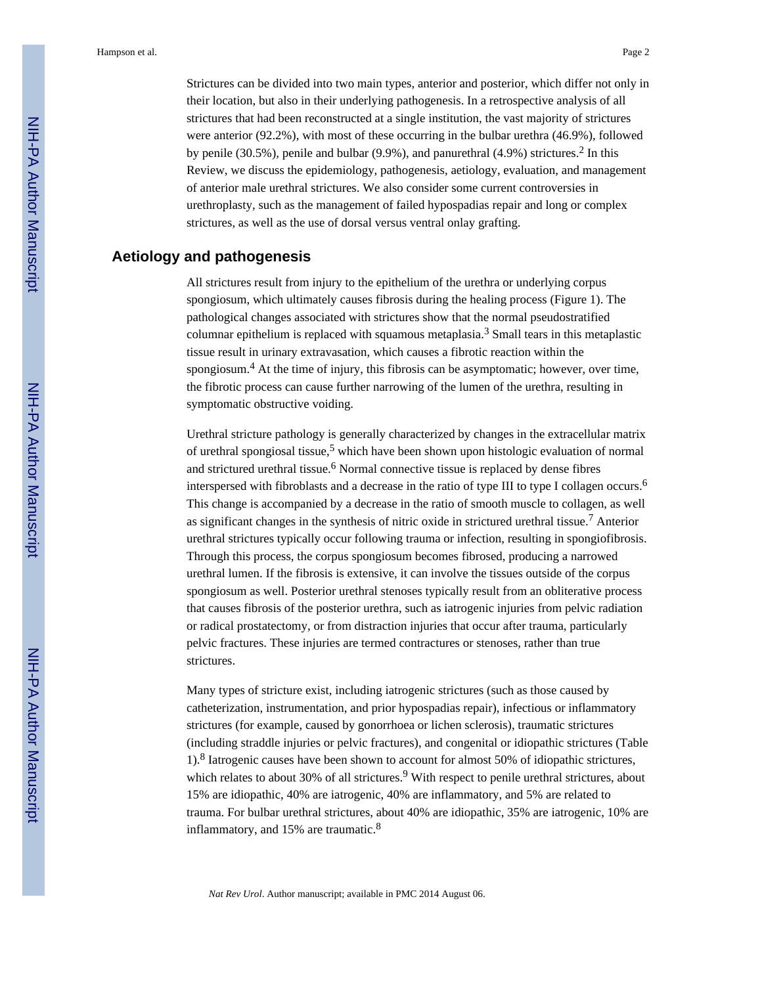Strictures can be divided into two main types, anterior and posterior, which differ not only in their location, but also in their underlying pathogenesis. In a retrospective analysis of all strictures that had been reconstructed at a single institution, the vast majority of strictures were anterior (92.2%), with most of these occurring in the bulbar urethra (46.9%), followed by penile (30.5%), penile and bulbar (9.9%), and panurethral (4.9%) strictures.<sup>2</sup> In this Review, we discuss the epidemiology, pathogenesis, aetiology, evaluation, and management of anterior male urethral strictures. We also consider some current controversies in urethroplasty, such as the management of failed hypospadias repair and long or complex strictures, as well as the use of dorsal versus ventral onlay grafting.

## **Aetiology and pathogenesis**

All strictures result from injury to the epithelium of the urethra or underlying corpus spongiosum, which ultimately causes fibrosis during the healing process (Figure 1). The pathological changes associated with strictures show that the normal pseudostratified columnar epithelium is replaced with squamous metaplasia.<sup>3</sup> Small tears in this metaplastic tissue result in urinary extravasation, which causes a fibrotic reaction within the spongiosum.<sup>4</sup> At the time of injury, this fibrosis can be asymptomatic; however, over time, the fibrotic process can cause further narrowing of the lumen of the urethra, resulting in symptomatic obstructive voiding.

Urethral stricture pathology is generally characterized by changes in the extracellular matrix of urethral spongiosal tissue,<sup>5</sup> which have been shown upon histologic evaluation of normal and strictured urethral tissue.<sup>6</sup> Normal connective tissue is replaced by dense fibres interspersed with fibroblasts and a decrease in the ratio of type III to type I collagen occurs.<sup>6</sup> This change is accompanied by a decrease in the ratio of smooth muscle to collagen, as well as significant changes in the synthesis of nitric oxide in strictured urethral tissue.<sup>7</sup> Anterior urethral strictures typically occur following trauma or infection, resulting in spongiofibrosis. Through this process, the corpus spongiosum becomes fibrosed, producing a narrowed urethral lumen. If the fibrosis is extensive, it can involve the tissues outside of the corpus spongiosum as well. Posterior urethral stenoses typically result from an obliterative process that causes fibrosis of the posterior urethra, such as iatrogenic injuries from pelvic radiation or radical prostatectomy, or from distraction injuries that occur after trauma, particularly pelvic fractures. These injuries are termed contractures or stenoses, rather than true strictures.

Many types of stricture exist, including iatrogenic strictures (such as those caused by catheterization, instrumentation, and prior hypospadias repair), infectious or inflammatory strictures (for example, caused by gonorrhoea or lichen sclerosis), traumatic strictures (including straddle injuries or pelvic fractures), and congenital or idiopathic strictures (Table 1).<sup>8</sup> Iatrogenic causes have been shown to account for almost 50% of idiopathic strictures, which relates to about 30% of all strictures.<sup>9</sup> With respect to penile urethral strictures, about 15% are idiopathic, 40% are iatrogenic, 40% are inflammatory, and 5% are related to trauma. For bulbar urethral strictures, about 40% are idiopathic, 35% are iatrogenic, 10% are inflammatory, and 15% are traumatic.<sup>8</sup>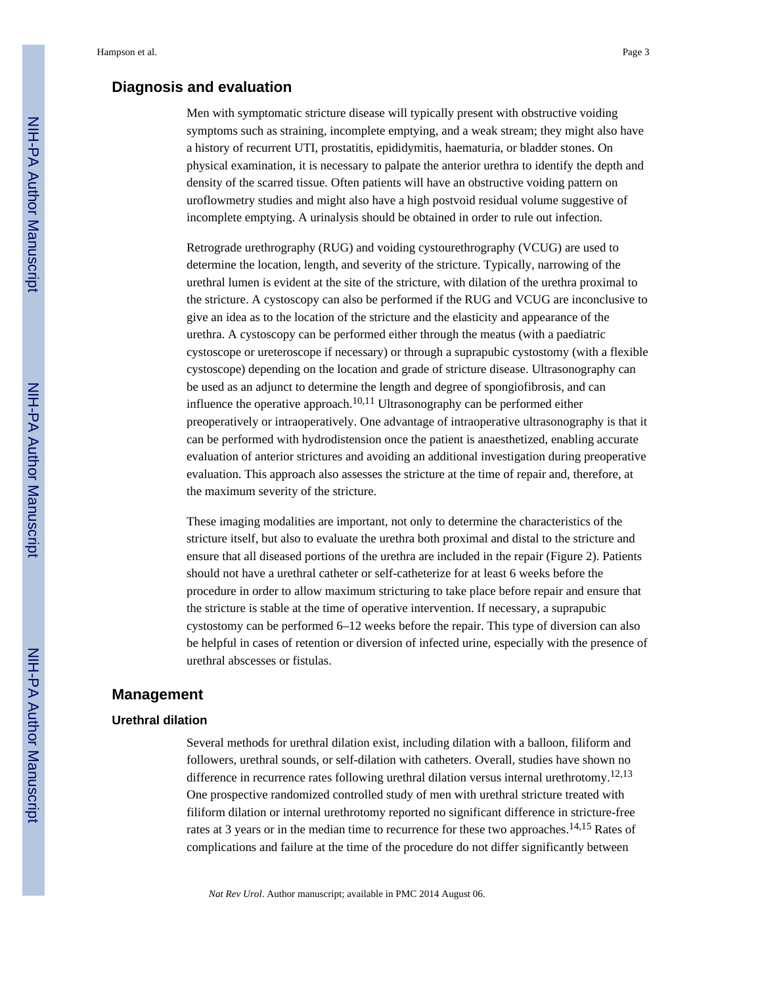#### **Diagnosis and evaluation**

Men with symptomatic stricture disease will typically present with obstructive voiding symptoms such as straining, incomplete emptying, and a weak stream; they might also have a history of recurrent UTI, prostatitis, epididymitis, haematuria, or bladder stones. On physical examination, it is necessary to palpate the anterior urethra to identify the depth and density of the scarred tissue. Often patients will have an obstructive voiding pattern on uroflowmetry studies and might also have a high postvoid residual volume suggestive of incomplete emptying. A urinalysis should be obtained in order to rule out infection.

Retrograde urethrography (RUG) and voiding cystourethrography (VCUG) are used to determine the location, length, and severity of the stricture. Typically, narrowing of the urethral lumen is evident at the site of the stricture, with dilation of the urethra proximal to the stricture. A cystoscopy can also be performed if the RUG and VCUG are inconclusive to give an idea as to the location of the stricture and the elasticity and appearance of the urethra. A cystoscopy can be performed either through the meatus (with a paediatric cystoscope or ureteroscope if necessary) or through a suprapubic cystostomy (with a flexible cystoscope) depending on the location and grade of stricture disease. Ultrasonography can be used as an adjunct to determine the length and degree of spongiofibrosis, and can influence the operative approach.<sup>10,11</sup> Ultrasonography can be performed either preoperatively or intraoperatively. One advantage of intraoperative ultrasonography is that it can be performed with hydrodistension once the patient is anaesthetized, enabling accurate evaluation of anterior strictures and avoiding an additional investigation during preoperative evaluation. This approach also assesses the stricture at the time of repair and, therefore, at the maximum severity of the stricture.

These imaging modalities are important, not only to determine the characteristics of the stricture itself, but also to evaluate the urethra both proximal and distal to the stricture and ensure that all diseased portions of the urethra are included in the repair (Figure 2). Patients should not have a urethral catheter or self-catheterize for at least 6 weeks before the procedure in order to allow maximum stricturing to take place before repair and ensure that the stricture is stable at the time of operative intervention. If necessary, a suprapubic cystostomy can be performed 6–12 weeks before the repair. This type of diversion can also be helpful in cases of retention or diversion of infected urine, especially with the presence of urethral abscesses or fistulas.

#### **Management**

#### **Urethral dilation**

Several methods for urethral dilation exist, including dilation with a balloon, filiform and followers, urethral sounds, or self-dilation with catheters. Overall, studies have shown no difference in recurrence rates following urethral dilation versus internal urethrotomy.<sup>12,13</sup> One prospective randomized controlled study of men with urethral stricture treated with filiform dilation or internal urethrotomy reported no significant difference in stricture-free rates at 3 years or in the median time to recurrence for these two approaches.<sup>14,15</sup> Rates of complications and failure at the time of the procedure do not differ significantly between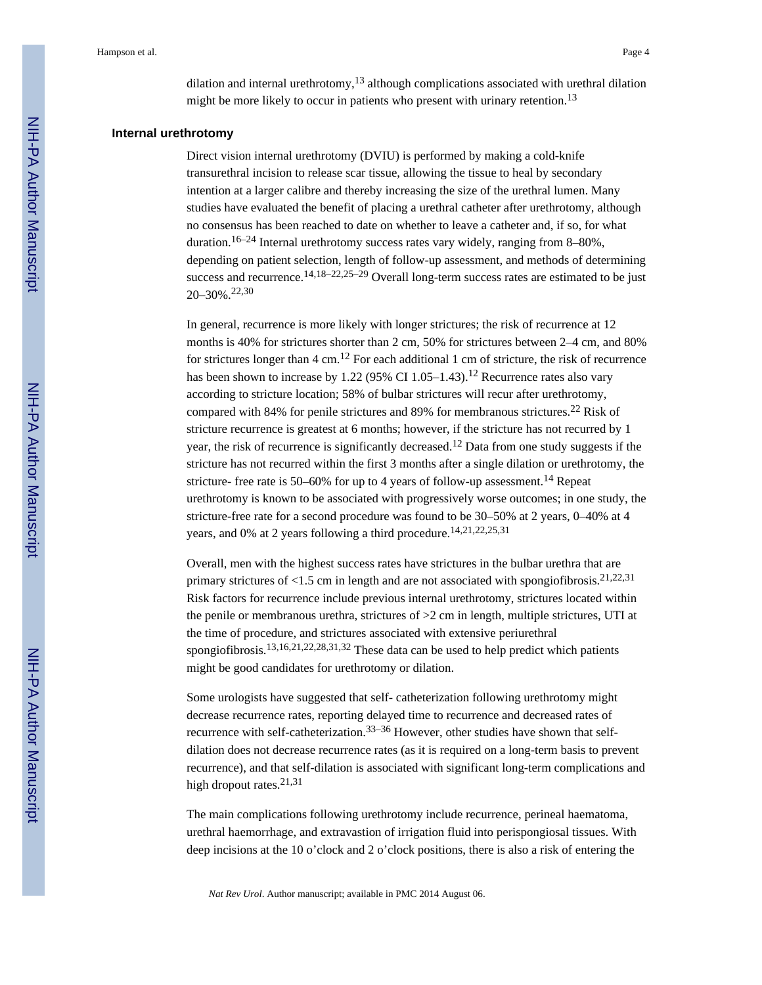#### **Internal urethrotomy**

Direct vision internal urethrotomy (DVIU) is performed by making a cold-knife transurethral incision to release scar tissue, allowing the tissue to heal by secondary intention at a larger calibre and thereby increasing the size of the urethral lumen. Many studies have evaluated the benefit of placing a urethral catheter after urethrotomy, although no consensus has been reached to date on whether to leave a catheter and, if so, for what duration.<sup>16–24</sup> Internal urethrotomy success rates vary widely, ranging from  $8-80\%$ , depending on patient selection, length of follow-up assessment, and methods of determining success and recurrence.<sup>14,18–22,25–29</sup> Overall long-term success rates are estimated to be just 20–30%.22,30

In general, recurrence is more likely with longer strictures; the risk of recurrence at 12 months is 40% for strictures shorter than 2 cm, 50% for strictures between 2–4 cm, and 80% for strictures longer than  $4 \text{ cm}$ .<sup>12</sup> For each additional 1 cm of stricture, the risk of recurrence has been shown to increase by 1.22 (95% CI 1.05–1.43).<sup>12</sup> Recurrence rates also vary according to stricture location; 58% of bulbar strictures will recur after urethrotomy, compared with 84% for penile strictures and 89% for membranous strictures.22 Risk of stricture recurrence is greatest at 6 months; however, if the stricture has not recurred by 1 year, the risk of recurrence is significantly decreased.12 Data from one study suggests if the stricture has not recurred within the first 3 months after a single dilation or urethrotomy, the stricture- free rate is 50–60% for up to 4 years of follow-up assessment.<sup>14</sup> Repeat urethrotomy is known to be associated with progressively worse outcomes; in one study, the stricture-free rate for a second procedure was found to be 30–50% at 2 years, 0–40% at 4 years, and 0% at 2 years following a third procedure.<sup>14,21,22,25,31</sup>

Overall, men with the highest success rates have strictures in the bulbar urethra that are primary strictures of <1.5 cm in length and are not associated with spongiofibrosis.21,22,31 Risk factors for recurrence include previous internal urethrotomy, strictures located within the penile or membranous urethra, strictures of >2 cm in length, multiple strictures, UTI at the time of procedure, and strictures associated with extensive periurethral spongiofibrosis.<sup>13,16,21,22,28,31,32</sup> These data can be used to help predict which patients might be good candidates for urethrotomy or dilation.

Some urologists have suggested that self- catheterization following urethrotomy might decrease recurrence rates, reporting delayed time to recurrence and decreased rates of recurrence with self-catheterization.33–36 However, other studies have shown that selfdilation does not decrease recurrence rates (as it is required on a long-term basis to prevent recurrence), and that self-dilation is associated with significant long-term complications and high dropout rates. $21,31$ 

The main complications following urethrotomy include recurrence, perineal haematoma, urethral haemorrhage, and extravastion of irrigation fluid into perispongiosal tissues. With deep incisions at the 10 o'clock and 2 o'clock positions, there is also a risk of entering the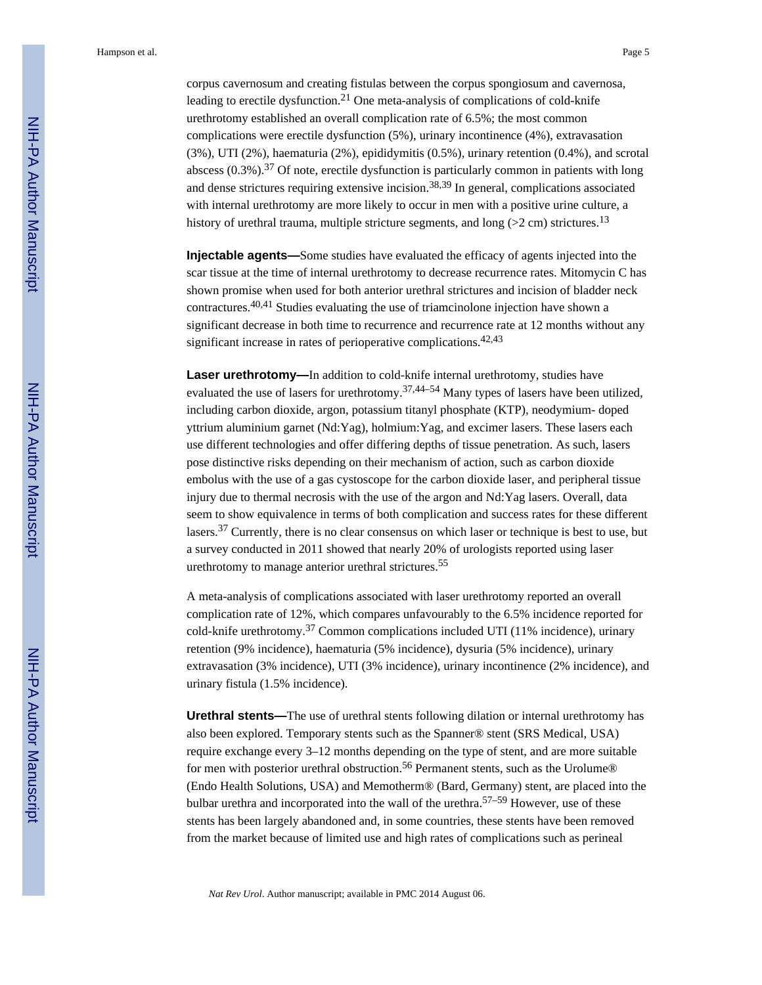corpus cavernosum and creating fistulas between the corpus spongiosum and cavernosa, leading to erectile dysfunction.<sup>21</sup> One meta-analysis of complications of cold-knife urethrotomy established an overall complication rate of 6.5%; the most common complications were erectile dysfunction (5%), urinary incontinence (4%), extravasation (3%), UTI (2%), haematuria (2%), epididymitis (0.5%), urinary retention (0.4%), and scrotal abscess  $(0.3\%)$ .<sup>37</sup> Of note, erectile dysfunction is particularly common in patients with long and dense strictures requiring extensive incision.<sup>38,39</sup> In general, complications associated with internal urethrotomy are more likely to occur in men with a positive urine culture, a history of urethral trauma, multiple stricture segments, and long ( $>2$  cm) strictures.<sup>13</sup>

**Injectable agents—**Some studies have evaluated the efficacy of agents injected into the scar tissue at the time of internal urethrotomy to decrease recurrence rates. Mitomycin C has shown promise when used for both anterior urethral strictures and incision of bladder neck contractures.40,41 Studies evaluating the use of triamcinolone injection have shown a significant decrease in both time to recurrence and recurrence rate at 12 months without any significant increase in rates of perioperative complications.<sup>42,43</sup>

**Laser urethrotomy—**In addition to cold-knife internal urethrotomy, studies have evaluated the use of lasers for urethrotomy.<sup>37,44–54</sup> Many types of lasers have been utilized, including carbon dioxide, argon, potassium titanyl phosphate (KTP), neodymium- doped yttrium aluminium garnet (Nd:Yag), holmium:Yag, and excimer lasers. These lasers each use different technologies and offer differing depths of tissue penetration. As such, lasers pose distinctive risks depending on their mechanism of action, such as carbon dioxide embolus with the use of a gas cystoscope for the carbon dioxide laser, and peripheral tissue injury due to thermal necrosis with the use of the argon and Nd:Yag lasers. Overall, data seem to show equivalence in terms of both complication and success rates for these different lasers.<sup>37</sup> Currently, there is no clear consensus on which laser or technique is best to use, but a survey conducted in 2011 showed that nearly 20% of urologists reported using laser urethrotomy to manage anterior urethral strictures.<sup>55</sup>

A meta-analysis of complications associated with laser urethrotomy reported an overall complication rate of 12%, which compares unfavourably to the 6.5% incidence reported for cold-knife urethrotomy.37 Common complications included UTI (11% incidence), urinary retention (9% incidence), haematuria (5% incidence), dysuria (5% incidence), urinary extravasation (3% incidence), UTI (3% incidence), urinary incontinence (2% incidence), and urinary fistula (1.5% incidence).

**Urethral stents—**The use of urethral stents following dilation or internal urethrotomy has also been explored. Temporary stents such as the Spanner® stent (SRS Medical, USA) require exchange every 3–12 months depending on the type of stent, and are more suitable for men with posterior urethral obstruction.<sup>56</sup> Permanent stents, such as the Urolume<sup>®</sup> (Endo Health Solutions, USA) and Memotherm® (Bard, Germany) stent, are placed into the bulbar urethra and incorporated into the wall of the urethra.<sup>57–59</sup> However, use of these stents has been largely abandoned and, in some countries, these stents have been removed from the market because of limited use and high rates of complications such as perineal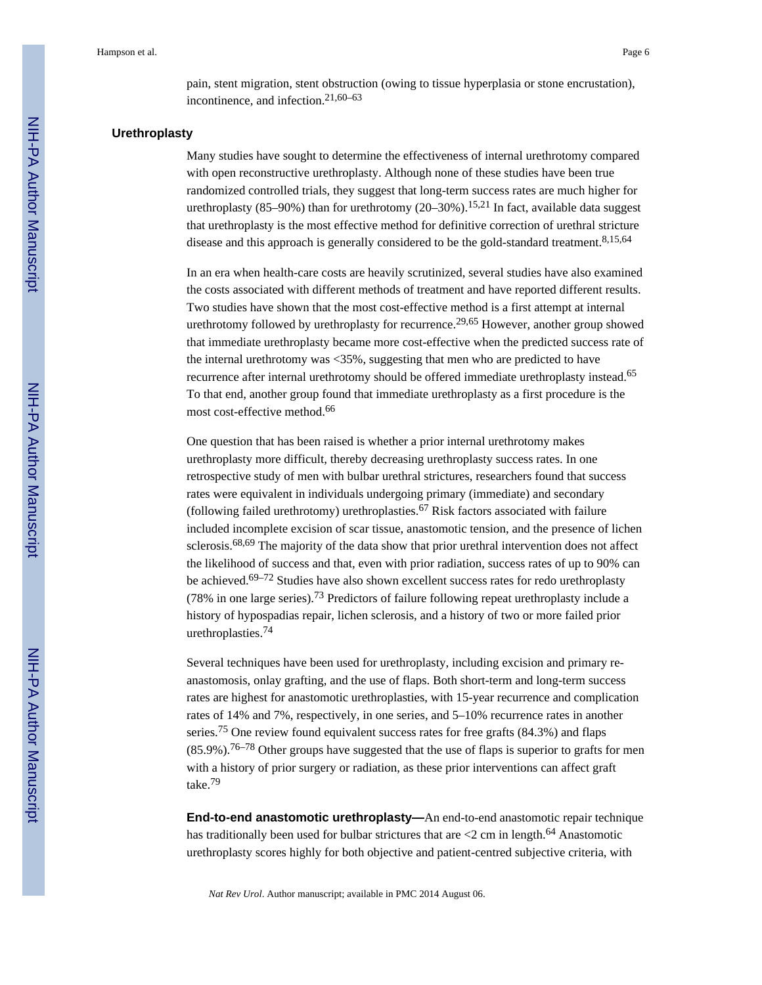pain, stent migration, stent obstruction (owing to tissue hyperplasia or stone encrustation), incontinence, and infection.21,60–63

#### **Urethroplasty**

Many studies have sought to determine the effectiveness of internal urethrotomy compared with open reconstructive urethroplasty. Although none of these studies have been true randomized controlled trials, they suggest that long-term success rates are much higher for urethroplasty (85–90%) than for urethrotomy (20–30%).15,21 In fact, available data suggest that urethroplasty is the most effective method for definitive correction of urethral stricture disease and this approach is generally considered to be the gold-standard treatment.<sup>8,15,64</sup>

In an era when health-care costs are heavily scrutinized, several studies have also examined the costs associated with different methods of treatment and have reported different results. Two studies have shown that the most cost-effective method is a first attempt at internal urethrotomy followed by urethroplasty for recurrence.<sup>29,65</sup> However, another group showed that immediate urethroplasty became more cost-effective when the predicted success rate of the internal urethrotomy was <35%, suggesting that men who are predicted to have recurrence after internal urethrotomy should be offered immediate urethroplasty instead.<sup>65</sup> To that end, another group found that immediate urethroplasty as a first procedure is the most cost-effective method.<sup>66</sup>

One question that has been raised is whether a prior internal urethrotomy makes urethroplasty more difficult, thereby decreasing urethroplasty success rates. In one retrospective study of men with bulbar urethral strictures, researchers found that success rates were equivalent in individuals undergoing primary (immediate) and secondary (following failed urethrotomy) urethroplasties.<sup>67</sup> Risk factors associated with failure included incomplete excision of scar tissue, anastomotic tension, and the presence of lichen sclerosis.<sup>68,69</sup> The majority of the data show that prior urethral intervention does not affect the likelihood of success and that, even with prior radiation, success rates of up to 90% can be achieved.<sup>69–72</sup> Studies have also shown excellent success rates for redo urethroplasty (78% in one large series).73 Predictors of failure following repeat urethroplasty include a history of hypospadias repair, lichen sclerosis, and a history of two or more failed prior urethroplasties.<sup>74</sup>

Several techniques have been used for urethroplasty, including excision and primary reanastomosis, onlay grafting, and the use of flaps. Both short-term and long-term success rates are highest for anastomotic urethroplasties, with 15-year recurrence and complication rates of 14% and 7%, respectively, in one series, and 5–10% recurrence rates in another series.<sup>75</sup> One review found equivalent success rates for free grafts (84.3%) and flaps  $(85.9\%)$ .<sup>76–78</sup> Other groups have suggested that the use of flaps is superior to grafts for men with a history of prior surgery or radiation, as these prior interventions can affect graft take.<sup>79</sup>

**End-to-end anastomotic urethroplasty—**An end-to-end anastomotic repair technique has traditionally been used for bulbar strictures that are  $\langle 2 \text{ cm} \rangle$  in length.<sup>64</sup> Anastomotic urethroplasty scores highly for both objective and patient-centred subjective criteria, with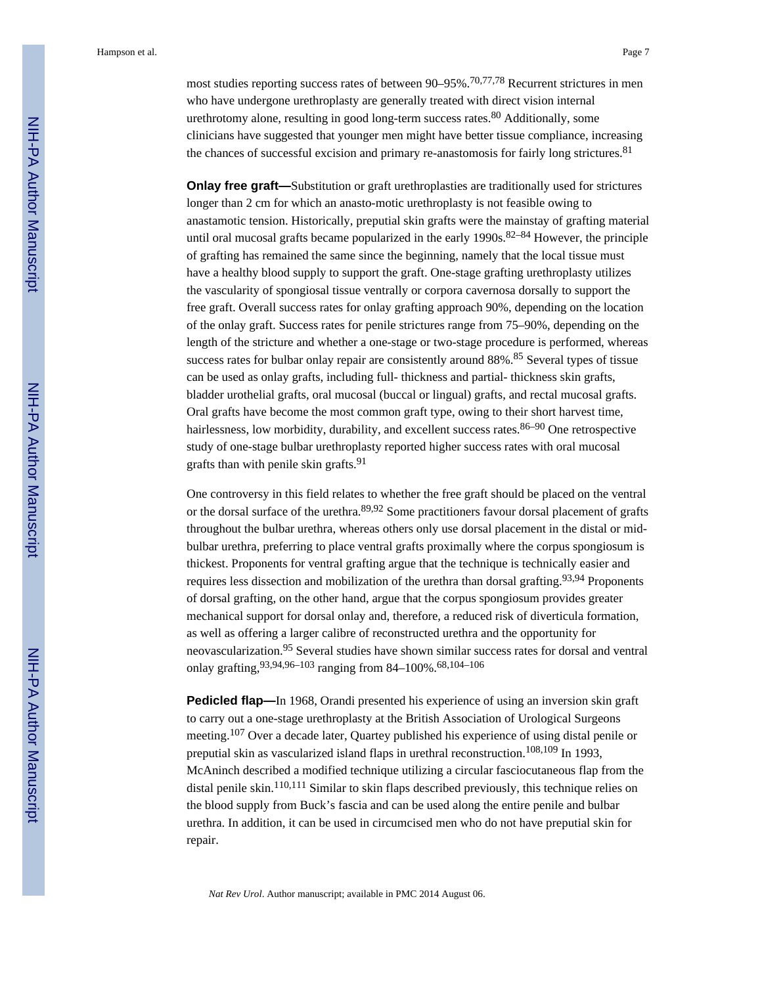most studies reporting success rates of between 90–95%.70,77,78 Recurrent strictures in men who have undergone urethroplasty are generally treated with direct vision internal urethrotomy alone, resulting in good long-term success rates. $80$  Additionally, some clinicians have suggested that younger men might have better tissue compliance, increasing the chances of successful excision and primary re-anastomosis for fairly long strictures. $81$ 

**Onlay free graft—**Substitution or graft urethroplasties are traditionally used for strictures longer than 2 cm for which an anasto-motic urethroplasty is not feasible owing to anastamotic tension. Historically, preputial skin grafts were the mainstay of grafting material until oral mucosal grafts became popularized in the early  $1990s$ .<sup>82–84</sup> However, the principle of grafting has remained the same since the beginning, namely that the local tissue must have a healthy blood supply to support the graft. One-stage grafting urethroplasty utilizes the vascularity of spongiosal tissue ventrally or corpora cavernosa dorsally to support the free graft. Overall success rates for onlay grafting approach 90%, depending on the location of the onlay graft. Success rates for penile strictures range from 75–90%, depending on the length of the stricture and whether a one-stage or two-stage procedure is performed, whereas success rates for bulbar onlay repair are consistently around 88%.<sup>85</sup> Several types of tissue can be used as onlay grafts, including full- thickness and partial- thickness skin grafts, bladder urothelial grafts, oral mucosal (buccal or lingual) grafts, and rectal mucosal grafts. Oral grafts have become the most common graft type, owing to their short harvest time, hairlessness, low morbidity, durability, and excellent success rates.  $86-90$  One retrospective study of one-stage bulbar urethroplasty reported higher success rates with oral mucosal grafts than with penile skin grafts.<sup>91</sup>

One controversy in this field relates to whether the free graft should be placed on the ventral or the dorsal surface of the urethra.89,92 Some practitioners favour dorsal placement of grafts throughout the bulbar urethra, whereas others only use dorsal placement in the distal or midbulbar urethra, preferring to place ventral grafts proximally where the corpus spongiosum is thickest. Proponents for ventral grafting argue that the technique is technically easier and requires less dissection and mobilization of the urethra than dorsal grafting.<sup>93,94</sup> Proponents of dorsal grafting, on the other hand, argue that the corpus spongiosum provides greater mechanical support for dorsal onlay and, therefore, a reduced risk of diverticula formation, as well as offering a larger calibre of reconstructed urethra and the opportunity for neovascularization.95 Several studies have shown similar success rates for dorsal and ventral onlay grafting,93,94,96–103 ranging from 84–100%.68,104–106

**Pedicled flap—**In 1968, Orandi presented his experience of using an inversion skin graft to carry out a one-stage urethroplasty at the British Association of Urological Surgeons meeting.<sup>107</sup> Over a decade later, Quartey published his experience of using distal penile or preputial skin as vascularized island flaps in urethral reconstruction.<sup>108,109</sup> In 1993, McAninch described a modified technique utilizing a circular fasciocutaneous flap from the distal penile skin.<sup>110,111</sup> Similar to skin flaps described previously, this technique relies on the blood supply from Buck's fascia and can be used along the entire penile and bulbar urethra. In addition, it can be used in circumcised men who do not have preputial skin for repair.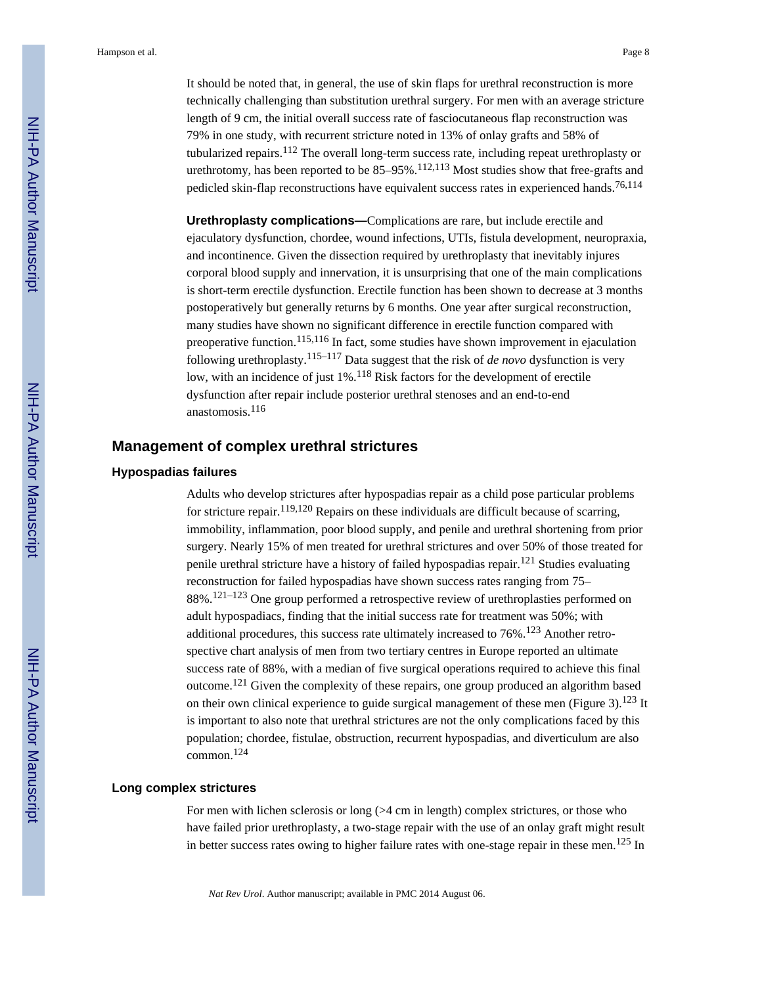It should be noted that, in general, the use of skin flaps for urethral reconstruction is more technically challenging than substitution urethral surgery. For men with an average stricture length of 9 cm, the initial overall success rate of fasciocutaneous flap reconstruction was 79% in one study, with recurrent stricture noted in 13% of onlay grafts and 58% of tubularized repairs.<sup>112</sup> The overall long-term success rate, including repeat urethroplasty or urethrotomy, has been reported to be  $85-95\%$ .<sup>112,113</sup> Most studies show that free-grafts and pedicled skin-flap reconstructions have equivalent success rates in experienced hands.<sup>76,114</sup>

**Urethroplasty complications—**Complications are rare, but include erectile and ejaculatory dysfunction, chordee, wound infections, UTIs, fistula development, neuropraxia, and incontinence. Given the dissection required by urethroplasty that inevitably injures corporal blood supply and innervation, it is unsurprising that one of the main complications is short-term erectile dysfunction. Erectile function has been shown to decrease at 3 months postoperatively but generally returns by 6 months. One year after surgical reconstruction, many studies have shown no significant difference in erectile function compared with preoperative function.115,116 In fact, some studies have shown improvement in ejaculation following urethroplasty.115–117 Data suggest that the risk of *de novo* dysfunction is very low, with an incidence of just 1%.<sup>118</sup> Risk factors for the development of erectile dysfunction after repair include posterior urethral stenoses and an end-to-end anastomosis.<sup>116</sup>

### **Management of complex urethral strictures**

#### **Hypospadias failures**

Adults who develop strictures after hypospadias repair as a child pose particular problems for stricture repair.<sup>119,120</sup> Repairs on these individuals are difficult because of scarring, immobility, inflammation, poor blood supply, and penile and urethral shortening from prior surgery. Nearly 15% of men treated for urethral strictures and over 50% of those treated for penile urethral stricture have a history of failed hypospadias repair.<sup>121</sup> Studies evaluating reconstruction for failed hypospadias have shown success rates ranging from 75–  $88\%$ .<sup>121–123</sup> One group performed a retrospective review of urethroplasties performed on adult hypospadiacs, finding that the initial success rate for treatment was 50%; with additional procedures, this success rate ultimately increased to  $76\%$ .<sup>123</sup> Another retrospective chart analysis of men from two tertiary centres in Europe reported an ultimate success rate of 88%, with a median of five surgical operations required to achieve this final outcome.121 Given the complexity of these repairs, one group produced an algorithm based on their own clinical experience to guide surgical management of these men (Figure 3).<sup>123</sup> It is important to also note that urethral strictures are not the only complications faced by this population; chordee, fistulae, obstruction, recurrent hypospadias, and diverticulum are also common.<sup>124</sup>

#### **Long complex strictures**

For men with lichen sclerosis or long ( $>4$  cm in length) complex strictures, or those who have failed prior urethroplasty, a two-stage repair with the use of an onlay graft might result in better success rates owing to higher failure rates with one-stage repair in these men.<sup>125</sup> In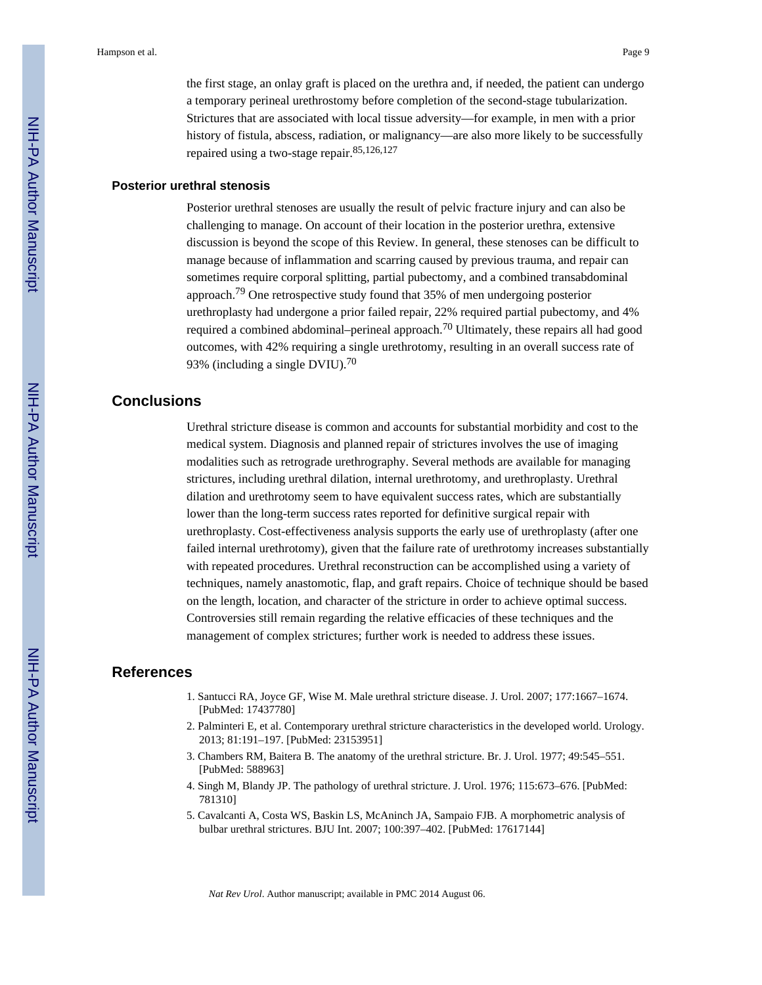the first stage, an onlay graft is placed on the urethra and, if needed, the patient can undergo a temporary perineal urethrostomy before completion of the second-stage tubularization. Strictures that are associated with local tissue adversity—for example, in men with a prior history of fistula, abscess, radiation, or malignancy—are also more likely to be successfully repaired using a two-stage repair.85,126,127

#### **Posterior urethral stenosis**

Posterior urethral stenoses are usually the result of pelvic fracture injury and can also be challenging to manage. On account of their location in the posterior urethra, extensive discussion is beyond the scope of this Review. In general, these stenoses can be difficult to manage because of inflammation and scarring caused by previous trauma, and repair can sometimes require corporal splitting, partial pubectomy, and a combined transabdominal approach.79 One retrospective study found that 35% of men undergoing posterior urethroplasty had undergone a prior failed repair, 22% required partial pubectomy, and 4% required a combined abdominal–perineal approach.70 Ultimately, these repairs all had good outcomes, with 42% requiring a single urethrotomy, resulting in an overall success rate of 93% (including a single DVIU).<sup>70</sup>

## **Conclusions**

Urethral stricture disease is common and accounts for substantial morbidity and cost to the medical system. Diagnosis and planned repair of strictures involves the use of imaging modalities such as retrograde urethrography. Several methods are available for managing strictures, including urethral dilation, internal urethrotomy, and urethroplasty. Urethral dilation and urethrotomy seem to have equivalent success rates, which are substantially lower than the long-term success rates reported for definitive surgical repair with urethroplasty. Cost-effectiveness analysis supports the early use of urethroplasty (after one failed internal urethrotomy), given that the failure rate of urethrotomy increases substantially with repeated procedures. Urethral reconstruction can be accomplished using a variety of techniques, namely anastomotic, flap, and graft repairs. Choice of technique should be based on the length, location, and character of the stricture in order to achieve optimal success. Controversies still remain regarding the relative efficacies of these techniques and the management of complex strictures; further work is needed to address these issues.

#### **References**

- 1. Santucci RA, Joyce GF, Wise M. Male urethral stricture disease. J. Urol. 2007; 177:1667–1674. [PubMed: 17437780]
- 2. Palminteri E, et al. Contemporary urethral stricture characteristics in the developed world. Urology. 2013; 81:191–197. [PubMed: 23153951]
- 3. Chambers RM, Baitera B. The anatomy of the urethral stricture. Br. J. Urol. 1977; 49:545–551. [PubMed: 588963]
- 4. Singh M, Blandy JP. The pathology of urethral stricture. J. Urol. 1976; 115:673–676. [PubMed: 781310]
- 5. Cavalcanti A, Costa WS, Baskin LS, McAninch JA, Sampaio FJB. A morphometric analysis of bulbar urethral strictures. BJU Int. 2007; 100:397–402. [PubMed: 17617144]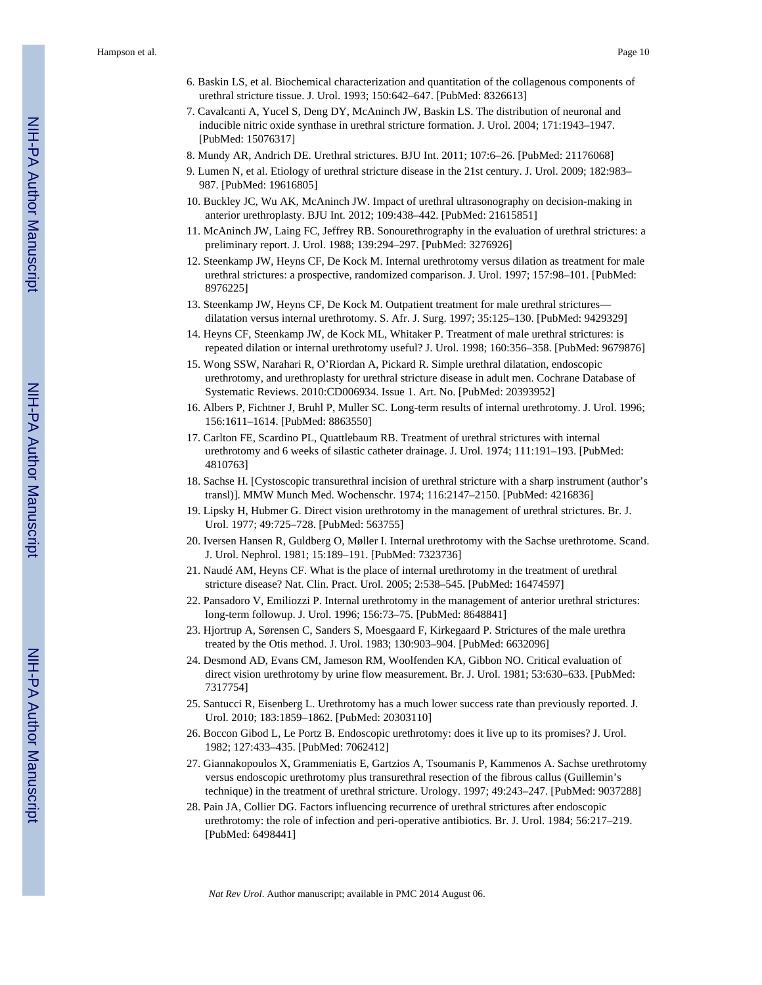- 6. Baskin LS, et al. Biochemical characterization and quantitation of the collagenous components of urethral stricture tissue. J. Urol. 1993; 150:642–647. [PubMed: 8326613]
- 7. Cavalcanti A, Yucel S, Deng DY, McAninch JW, Baskin LS. The distribution of neuronal and inducible nitric oxide synthase in urethral stricture formation. J. Urol. 2004; 171:1943–1947. [PubMed: 15076317]
- 8. Mundy AR, Andrich DE. Urethral strictures. BJU Int. 2011; 107:6–26. [PubMed: 21176068]
- 9. Lumen N, et al. Etiology of urethral stricture disease in the 21st century. J. Urol. 2009; 182:983– 987. [PubMed: 19616805]
- 10. Buckley JC, Wu AK, McAninch JW. Impact of urethral ultrasonography on decision-making in anterior urethroplasty. BJU Int. 2012; 109:438–442. [PubMed: 21615851]
- 11. McAninch JW, Laing FC, Jeffrey RB. Sonourethrography in the evaluation of urethral strictures: a preliminary report. J. Urol. 1988; 139:294–297. [PubMed: 3276926]
- 12. Steenkamp JW, Heyns CF, De Kock M. Internal urethrotomy versus dilation as treatment for male urethral strictures: a prospective, randomized comparison. J. Urol. 1997; 157:98–101. [PubMed: 8976225]
- 13. Steenkamp JW, Heyns CF, De Kock M. Outpatient treatment for male urethral strictures dilatation versus internal urethrotomy. S. Afr. J. Surg. 1997; 35:125–130. [PubMed: 9429329]
- 14. Heyns CF, Steenkamp JW, de Kock ML, Whitaker P. Treatment of male urethral strictures: is repeated dilation or internal urethrotomy useful? J. Urol. 1998; 160:356–358. [PubMed: 9679876]
- 15. Wong SSW, Narahari R, O'Riordan A, Pickard R. Simple urethral dilatation, endoscopic urethrotomy, and urethroplasty for urethral stricture disease in adult men. Cochrane Database of Systematic Reviews. 2010:CD006934. Issue 1. Art. No. [PubMed: 20393952]
- 16. Albers P, Fichtner J, Bruhl P, Muller SC. Long-term results of internal urethrotomy. J. Urol. 1996; 156:1611–1614. [PubMed: 8863550]
- 17. Carlton FE, Scardino PL, Quattlebaum RB. Treatment of urethral strictures with internal urethrotomy and 6 weeks of silastic catheter drainage. J. Urol. 1974; 111:191–193. [PubMed: 4810763]
- 18. Sachse H. [Cystoscopic transurethral incision of urethral stricture with a sharp instrument (author's transl)]. MMW Munch Med. Wochenschr. 1974; 116:2147–2150. [PubMed: 4216836]
- 19. Lipsky H, Hubmer G. Direct vision urethrotomy in the management of urethral strictures. Br. J. Urol. 1977; 49:725–728. [PubMed: 563755]
- 20. Iversen Hansen R, Guldberg O, Møller I. Internal urethrotomy with the Sachse urethrotome. Scand. J. Urol. Nephrol. 1981; 15:189–191. [PubMed: 7323736]
- 21. Naudé AM, Heyns CF. What is the place of internal urethrotomy in the treatment of urethral stricture disease? Nat. Clin. Pract. Urol. 2005; 2:538–545. [PubMed: 16474597]
- 22. Pansadoro V, Emiliozzi P. Internal urethrotomy in the management of anterior urethral strictures: long-term followup. J. Urol. 1996; 156:73–75. [PubMed: 8648841]
- 23. Hjortrup A, Sørensen C, Sanders S, Moesgaard F, Kirkegaard P. Strictures of the male urethra treated by the Otis method. J. Urol. 1983; 130:903–904. [PubMed: 6632096]
- 24. Desmond AD, Evans CM, Jameson RM, Woolfenden KA, Gibbon NO. Critical evaluation of direct vision urethrotomy by urine flow measurement. Br. J. Urol. 1981; 53:630–633. [PubMed: 7317754]
- 25. Santucci R, Eisenberg L. Urethrotomy has a much lower success rate than previously reported. J. Urol. 2010; 183:1859–1862. [PubMed: 20303110]
- 26. Boccon Gibod L, Le Portz B. Endoscopic urethrotomy: does it live up to its promises? J. Urol. 1982; 127:433–435. [PubMed: 7062412]
- 27. Giannakopoulos X, Grammeniatis E, Gartzios A, Tsoumanis P, Kammenos A. Sachse urethrotomy versus endoscopic urethrotomy plus transurethral resection of the fibrous callus (Guillemin's technique) in the treatment of urethral stricture. Urology. 1997; 49:243–247. [PubMed: 9037288]
- 28. Pain JA, Collier DG. Factors influencing recurrence of urethral strictures after endoscopic urethrotomy: the role of infection and peri-operative antibiotics. Br. J. Urol. 1984; 56:217–219. [PubMed: 6498441]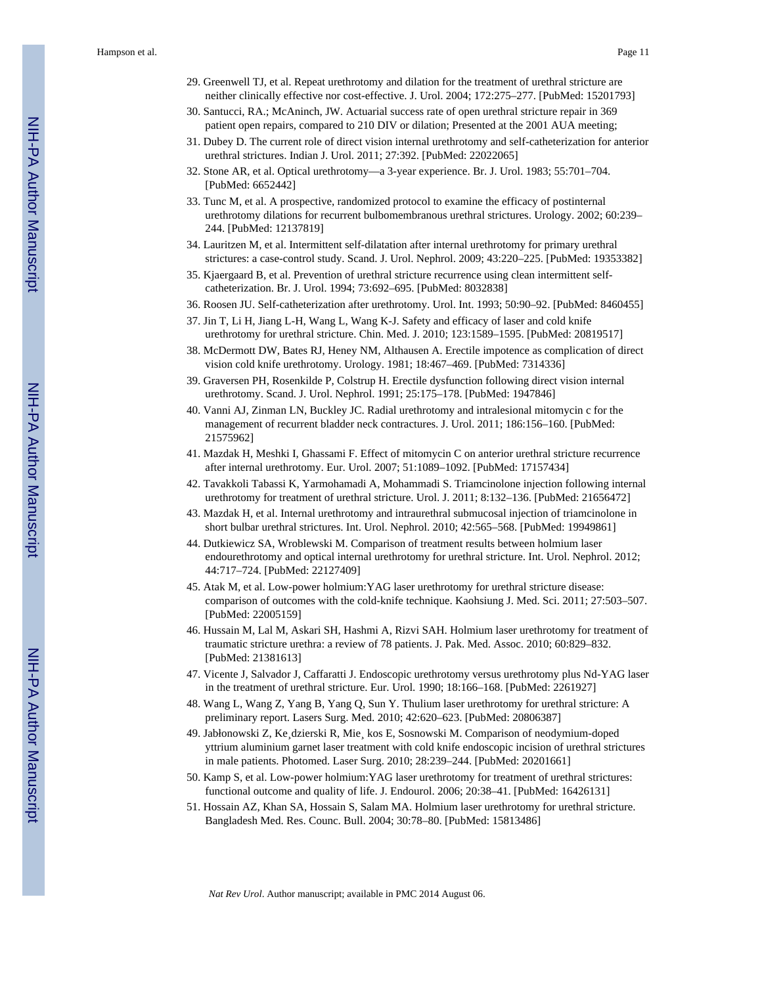- 29. Greenwell TJ, et al. Repeat urethrotomy and dilation for the treatment of urethral stricture are neither clinically effective nor cost-effective. J. Urol. 2004; 172:275–277. [PubMed: 15201793]
- 30. Santucci, RA.; McAninch, JW. Actuarial success rate of open urethral stricture repair in 369 patient open repairs, compared to 210 DIV or dilation; Presented at the 2001 AUA meeting;
- 31. Dubey D. The current role of direct vision internal urethrotomy and self-catheterization for anterior urethral strictures. Indian J. Urol. 2011; 27:392. [PubMed: 22022065]
- 32. Stone AR, et al. Optical urethrotomy—a 3-year experience. Br. J. Urol. 1983; 55:701–704. [PubMed: 6652442]
- 33. Tunc M, et al. A prospective, randomized protocol to examine the efficacy of postinternal urethrotomy dilations for recurrent bulbomembranous urethral strictures. Urology. 2002; 60:239– 244. [PubMed: 12137819]
- 34. Lauritzen M, et al. Intermittent self-dilatation after internal urethrotomy for primary urethral strictures: a case-control study. Scand. J. Urol. Nephrol. 2009; 43:220–225. [PubMed: 19353382]
- 35. Kjaergaard B, et al. Prevention of urethral stricture recurrence using clean intermittent selfcatheterization. Br. J. Urol. 1994; 73:692–695. [PubMed: 8032838]
- 36. Roosen JU. Self-catheterization after urethrotomy. Urol. Int. 1993; 50:90–92. [PubMed: 8460455]
- 37. Jin T, Li H, Jiang L-H, Wang L, Wang K-J. Safety and efficacy of laser and cold knife urethrotomy for urethral stricture. Chin. Med. J. 2010; 123:1589–1595. [PubMed: 20819517]
- 38. McDermott DW, Bates RJ, Heney NM, Althausen A. Erectile impotence as complication of direct vision cold knife urethrotomy. Urology. 1981; 18:467–469. [PubMed: 7314336]
- 39. Graversen PH, Rosenkilde P, Colstrup H. Erectile dysfunction following direct vision internal urethrotomy. Scand. J. Urol. Nephrol. 1991; 25:175–178. [PubMed: 1947846]
- 40. Vanni AJ, Zinman LN, Buckley JC. Radial urethrotomy and intralesional mitomycin c for the management of recurrent bladder neck contractures. J. Urol. 2011; 186:156–160. [PubMed: 21575962]
- 41. Mazdak H, Meshki I, Ghassami F. Effect of mitomycin C on anterior urethral stricture recurrence after internal urethrotomy. Eur. Urol. 2007; 51:1089–1092. [PubMed: 17157434]
- 42. Tavakkoli Tabassi K, Yarmohamadi A, Mohammadi S. Triamcinolone injection following internal urethrotomy for treatment of urethral stricture. Urol. J. 2011; 8:132–136. [PubMed: 21656472]
- 43. Mazdak H, et al. Internal urethrotomy and intraurethral submucosal injection of triamcinolone in short bulbar urethral strictures. Int. Urol. Nephrol. 2010; 42:565–568. [PubMed: 19949861]
- 44. Dutkiewicz SA, Wroblewski M. Comparison of treatment results between holmium laser endourethrotomy and optical internal urethrotomy for urethral stricture. Int. Urol. Nephrol. 2012; 44:717–724. [PubMed: 22127409]
- 45. Atak M, et al. Low-power holmium:YAG laser urethrotomy for urethral stricture disease: comparison of outcomes with the cold-knife technique. Kaohsiung J. Med. Sci. 2011; 27:503–507. [PubMed: 22005159]
- 46. Hussain M, Lal M, Askari SH, Hashmi A, Rizvi SAH. Holmium laser urethrotomy for treatment of traumatic stricture urethra: a review of 78 patients. J. Pak. Med. Assoc. 2010; 60:829–832. [PubMed: 21381613]
- 47. Vicente J, Salvador J, Caffaratti J. Endoscopic urethrotomy versus urethrotomy plus Nd-YAG laser in the treatment of urethral stricture. Eur. Urol. 1990; 18:166–168. [PubMed: 2261927]
- 48. Wang L, Wang Z, Yang B, Yang Q, Sun Y. Thulium laser urethrotomy for urethral stricture: A preliminary report. Lasers Surg. Med. 2010; 42:620–623. [PubMed: 20806387]
- 49. Jabłonowski Z, Ke¸dzierski R, Mie¸ kos E, Sosnowski M. Comparison of neodymium-doped yttrium aluminium garnet laser treatment with cold knife endoscopic incision of urethral strictures in male patients. Photomed. Laser Surg. 2010; 28:239–244. [PubMed: 20201661]
- 50. Kamp S, et al. Low-power holmium:YAG laser urethrotomy for treatment of urethral strictures: functional outcome and quality of life. J. Endourol. 2006; 20:38–41. [PubMed: 16426131]
- 51. Hossain AZ, Khan SA, Hossain S, Salam MA. Holmium laser urethrotomy for urethral stricture. Bangladesh Med. Res. Counc. Bull. 2004; 30:78–80. [PubMed: 15813486]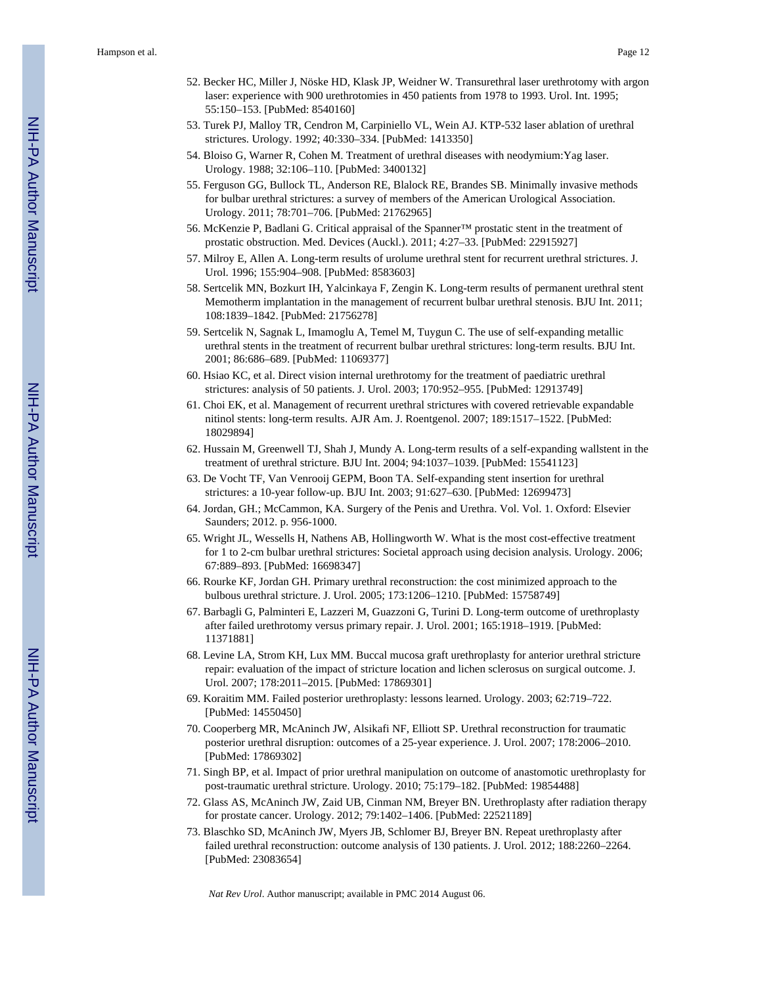- 52. Becker HC, Miller J, Nöske HD, Klask JP, Weidner W. Transurethral laser urethrotomy with argon laser: experience with 900 urethrotomies in 450 patients from 1978 to 1993. Urol. Int. 1995; 55:150–153. [PubMed: 8540160]
- 53. Turek PJ, Malloy TR, Cendron M, Carpiniello VL, Wein AJ. KTP-532 laser ablation of urethral strictures. Urology. 1992; 40:330–334. [PubMed: 1413350]
- 54. Bloiso G, Warner R, Cohen M. Treatment of urethral diseases with neodymium:Yag laser. Urology. 1988; 32:106–110. [PubMed: 3400132]
- 55. Ferguson GG, Bullock TL, Anderson RE, Blalock RE, Brandes SB. Minimally invasive methods for bulbar urethral strictures: a survey of members of the American Urological Association. Urology. 2011; 78:701–706. [PubMed: 21762965]
- 56. McKenzie P, Badlani G. Critical appraisal of the Spanner™ prostatic stent in the treatment of prostatic obstruction. Med. Devices (Auckl.). 2011; 4:27–33. [PubMed: 22915927]
- 57. Milroy E, Allen A. Long-term results of urolume urethral stent for recurrent urethral strictures. J. Urol. 1996; 155:904–908. [PubMed: 8583603]
- 58. Sertcelik MN, Bozkurt IH, Yalcinkaya F, Zengin K. Long-term results of permanent urethral stent Memotherm implantation in the management of recurrent bulbar urethral stenosis. BJU Int. 2011; 108:1839–1842. [PubMed: 21756278]
- 59. Sertcelik N, Sagnak L, Imamoglu A, Temel M, Tuygun C. The use of self-expanding metallic urethral stents in the treatment of recurrent bulbar urethral strictures: long-term results. BJU Int. 2001; 86:686–689. [PubMed: 11069377]
- 60. Hsiao KC, et al. Direct vision internal urethrotomy for the treatment of paediatric urethral strictures: analysis of 50 patients. J. Urol. 2003; 170:952–955. [PubMed: 12913749]
- 61. Choi EK, et al. Management of recurrent urethral strictures with covered retrievable expandable nitinol stents: long-term results. AJR Am. J. Roentgenol. 2007; 189:1517–1522. [PubMed: 18029894]
- 62. Hussain M, Greenwell TJ, Shah J, Mundy A. Long-term results of a self-expanding wallstent in the treatment of urethral stricture. BJU Int. 2004; 94:1037–1039. [PubMed: 15541123]
- 63. De Vocht TF, Van Venrooij GEPM, Boon TA. Self-expanding stent insertion for urethral strictures: a 10-year follow-up. BJU Int. 2003; 91:627–630. [PubMed: 12699473]
- 64. Jordan, GH.; McCammon, KA. Surgery of the Penis and Urethra. Vol. Vol. 1. Oxford: Elsevier Saunders; 2012. p. 956-1000.
- 65. Wright JL, Wessells H, Nathens AB, Hollingworth W. What is the most cost-effective treatment for 1 to 2-cm bulbar urethral strictures: Societal approach using decision analysis. Urology. 2006; 67:889–893. [PubMed: 16698347]
- 66. Rourke KF, Jordan GH. Primary urethral reconstruction: the cost minimized approach to the bulbous urethral stricture. J. Urol. 2005; 173:1206–1210. [PubMed: 15758749]
- 67. Barbagli G, Palminteri E, Lazzeri M, Guazzoni G, Turini D. Long-term outcome of urethroplasty after failed urethrotomy versus primary repair. J. Urol. 2001; 165:1918–1919. [PubMed: 11371881]
- 68. Levine LA, Strom KH, Lux MM. Buccal mucosa graft urethroplasty for anterior urethral stricture repair: evaluation of the impact of stricture location and lichen sclerosus on surgical outcome. J. Urol. 2007; 178:2011–2015. [PubMed: 17869301]
- 69. Koraitim MM. Failed posterior urethroplasty: lessons learned. Urology. 2003; 62:719–722. [PubMed: 14550450]
- 70. Cooperberg MR, McAninch JW, Alsikafi NF, Elliott SP. Urethral reconstruction for traumatic posterior urethral disruption: outcomes of a 25-year experience. J. Urol. 2007; 178:2006–2010. [PubMed: 17869302]
- 71. Singh BP, et al. Impact of prior urethral manipulation on outcome of anastomotic urethroplasty for post-traumatic urethral stricture. Urology. 2010; 75:179–182. [PubMed: 19854488]
- 72. Glass AS, McAninch JW, Zaid UB, Cinman NM, Breyer BN. Urethroplasty after radiation therapy for prostate cancer. Urology. 2012; 79:1402–1406. [PubMed: 22521189]
- 73. Blaschko SD, McAninch JW, Myers JB, Schlomer BJ, Breyer BN. Repeat urethroplasty after failed urethral reconstruction: outcome analysis of 130 patients. J. Urol. 2012; 188:2260–2264. [PubMed: 23083654]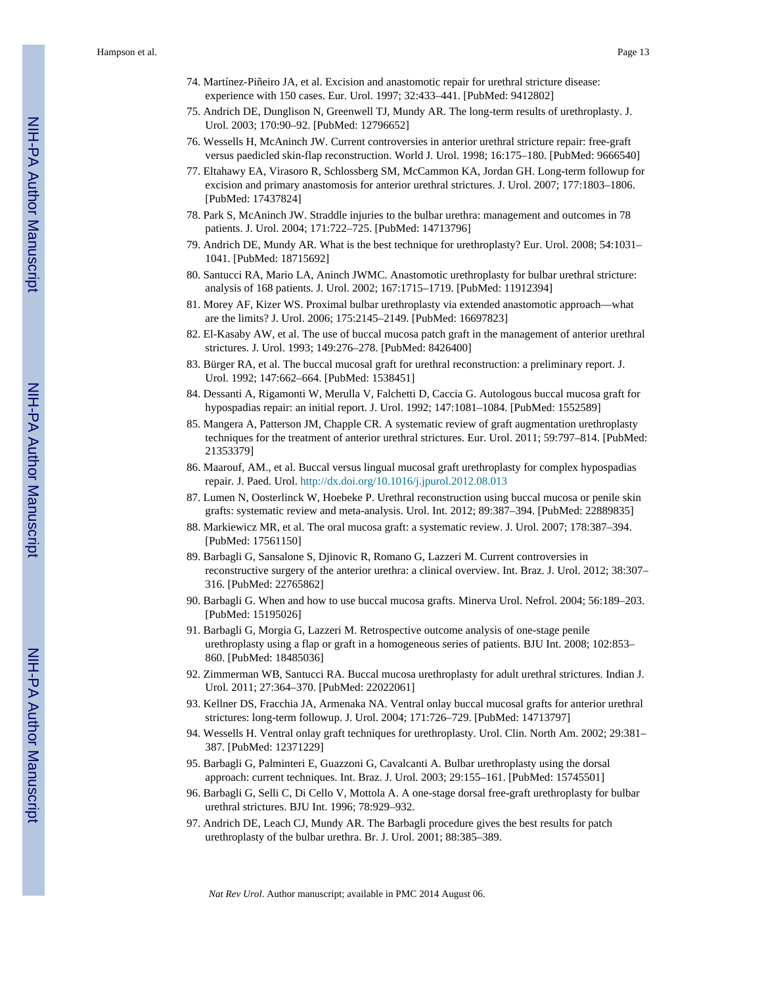- 74. Martínez-Piñeiro JA, et al. Excision and anastomotic repair for urethral stricture disease: experience with 150 cases. Eur. Urol. 1997; 32:433–441. [PubMed: 9412802]
- 75. Andrich DE, Dunglison N, Greenwell TJ, Mundy AR. The long-term results of urethroplasty. J. Urol. 2003; 170:90–92. [PubMed: 12796652]
- 76. Wessells H, McAninch JW. Current controversies in anterior urethral stricture repair: free-graft versus paedicled skin-flap reconstruction. World J. Urol. 1998; 16:175–180. [PubMed: 9666540]
- 77. Eltahawy EA, Virasoro R, Schlossberg SM, McCammon KA, Jordan GH. Long-term followup for excision and primary anastomosis for anterior urethral strictures. J. Urol. 2007; 177:1803–1806. [PubMed: 17437824]
- 78. Park S, McAninch JW. Straddle injuries to the bulbar urethra: management and outcomes in 78 patients. J. Urol. 2004; 171:722–725. [PubMed: 14713796]
- 79. Andrich DE, Mundy AR. What is the best technique for urethroplasty? Eur. Urol. 2008; 54:1031– 1041. [PubMed: 18715692]
- 80. Santucci RA, Mario LA, Aninch JWMC. Anastomotic urethroplasty for bulbar urethral stricture: analysis of 168 patients. J. Urol. 2002; 167:1715–1719. [PubMed: 11912394]
- 81. Morey AF, Kizer WS. Proximal bulbar urethroplasty via extended anastomotic approach—what are the limits? J. Urol. 2006; 175:2145–2149. [PubMed: 16697823]
- 82. El-Kasaby AW, et al. The use of buccal mucosa patch graft in the management of anterior urethral strictures. J. Urol. 1993; 149:276–278. [PubMed: 8426400]
- 83. Bürger RA, et al. The buccal mucosal graft for urethral reconstruction: a preliminary report. J. Urol. 1992; 147:662–664. [PubMed: 1538451]
- 84. Dessanti A, Rigamonti W, Merulla V, Falchetti D, Caccia G. Autologous buccal mucosa graft for hypospadias repair: an initial report. J. Urol. 1992; 147:1081–1084. [PubMed: 1552589]
- 85. Mangera A, Patterson JM, Chapple CR. A systematic review of graft augmentation urethroplasty techniques for the treatment of anterior urethral strictures. Eur. Urol. 2011; 59:797–814. [PubMed: 21353379]
- 86. Maarouf, AM., et al. Buccal versus lingual mucosal graft urethroplasty for complex hypospadias repair. J. Paed. Urol.<http://dx.doi.org/10.1016/j.jpurol.2012.08.013>
- 87. Lumen N, Oosterlinck W, Hoebeke P. Urethral reconstruction using buccal mucosa or penile skin grafts: systematic review and meta-analysis. Urol. Int. 2012; 89:387–394. [PubMed: 22889835]
- 88. Markiewicz MR, et al. The oral mucosa graft: a systematic review. J. Urol. 2007; 178:387–394. [PubMed: 17561150]
- 89. Barbagli G, Sansalone S, Djinovic R, Romano G, Lazzeri M. Current controversies in reconstructive surgery of the anterior urethra: a clinical overview. Int. Braz. J. Urol. 2012; 38:307– 316. [PubMed: 22765862]
- 90. Barbagli G. When and how to use buccal mucosa grafts. Minerva Urol. Nefrol. 2004; 56:189–203. [PubMed: 15195026]
- 91. Barbagli G, Morgia G, Lazzeri M. Retrospective outcome analysis of one-stage penile urethroplasty using a flap or graft in a homogeneous series of patients. BJU Int. 2008; 102:853– 860. [PubMed: 18485036]
- 92. Zimmerman WB, Santucci RA. Buccal mucosa urethroplasty for adult urethral strictures. Indian J. Urol. 2011; 27:364–370. [PubMed: 22022061]
- 93. Kellner DS, Fracchia JA, Armenaka NA. Ventral onlay buccal mucosal grafts for anterior urethral strictures: long-term followup. J. Urol. 2004; 171:726–729. [PubMed: 14713797]
- 94. Wessells H. Ventral onlay graft techniques for urethroplasty. Urol. Clin. North Am. 2002; 29:381– 387. [PubMed: 12371229]
- 95. Barbagli G, Palminteri E, Guazzoni G, Cavalcanti A. Bulbar urethroplasty using the dorsal approach: current techniques. Int. Braz. J. Urol. 2003; 29:155–161. [PubMed: 15745501]
- 96. Barbagli G, Selli C, Di Cello V, Mottola A. A one-stage dorsal free-graft urethroplasty for bulbar urethral strictures. BJU Int. 1996; 78:929–932.
- 97. Andrich DE, Leach CJ, Mundy AR. The Barbagli procedure gives the best results for patch urethroplasty of the bulbar urethra. Br. J. Urol. 2001; 88:385–389.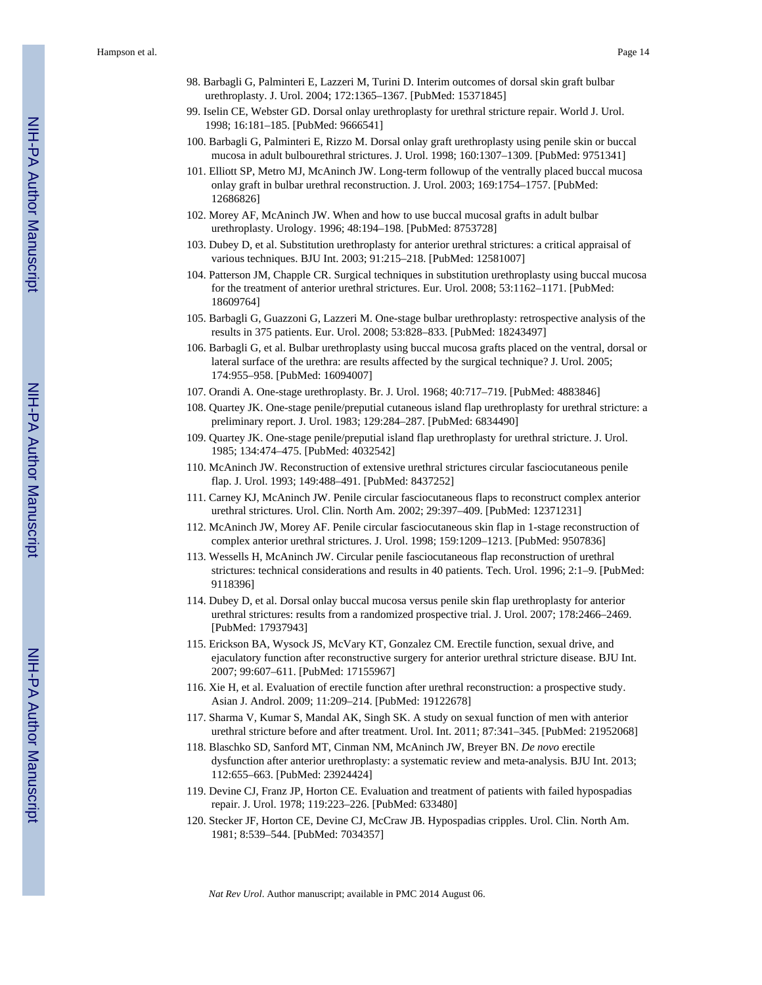- 98. Barbagli G, Palminteri E, Lazzeri M, Turini D. Interim outcomes of dorsal skin graft bulbar urethroplasty. J. Urol. 2004; 172:1365–1367. [PubMed: 15371845]
- 99. Iselin CE, Webster GD. Dorsal onlay urethroplasty for urethral stricture repair. World J. Urol. 1998; 16:181–185. [PubMed: 9666541]
- 100. Barbagli G, Palminteri E, Rizzo M. Dorsal onlay graft urethroplasty using penile skin or buccal mucosa in adult bulbourethral strictures. J. Urol. 1998; 160:1307–1309. [PubMed: 9751341]
- 101. Elliott SP, Metro MJ, McAninch JW. Long-term followup of the ventrally placed buccal mucosa onlay graft in bulbar urethral reconstruction. J. Urol. 2003; 169:1754–1757. [PubMed: 12686826]
- 102. Morey AF, McAninch JW. When and how to use buccal mucosal grafts in adult bulbar urethroplasty. Urology. 1996; 48:194–198. [PubMed: 8753728]
- 103. Dubey D, et al. Substitution urethroplasty for anterior urethral strictures: a critical appraisal of various techniques. BJU Int. 2003; 91:215–218. [PubMed: 12581007]
- 104. Patterson JM, Chapple CR. Surgical techniques in substitution urethroplasty using buccal mucosa for the treatment of anterior urethral strictures. Eur. Urol. 2008; 53:1162–1171. [PubMed: 18609764]
- 105. Barbagli G, Guazzoni G, Lazzeri M. One-stage bulbar urethroplasty: retrospective analysis of the results in 375 patients. Eur. Urol. 2008; 53:828–833. [PubMed: 18243497]
- 106. Barbagli G, et al. Bulbar urethroplasty using buccal mucosa grafts placed on the ventral, dorsal or lateral surface of the urethra: are results affected by the surgical technique? J. Urol. 2005; 174:955–958. [PubMed: 16094007]
- 107. Orandi A. One-stage urethroplasty. Br. J. Urol. 1968; 40:717–719. [PubMed: 4883846]
- 108. Quartey JK. One-stage penile/preputial cutaneous island flap urethroplasty for urethral stricture: a preliminary report. J. Urol. 1983; 129:284–287. [PubMed: 6834490]
- 109. Quartey JK. One-stage penile/preputial island flap urethroplasty for urethral stricture. J. Urol. 1985; 134:474–475. [PubMed: 4032542]
- 110. McAninch JW. Reconstruction of extensive urethral strictures circular fasciocutaneous penile flap. J. Urol. 1993; 149:488–491. [PubMed: 8437252]
- 111. Carney KJ, McAninch JW. Penile circular fasciocutaneous flaps to reconstruct complex anterior urethral strictures. Urol. Clin. North Am. 2002; 29:397–409. [PubMed: 12371231]
- 112. McAninch JW, Morey AF. Penile circular fasciocutaneous skin flap in 1-stage reconstruction of complex anterior urethral strictures. J. Urol. 1998; 159:1209–1213. [PubMed: 9507836]
- 113. Wessells H, McAninch JW. Circular penile fasciocutaneous flap reconstruction of urethral strictures: technical considerations and results in 40 patients. Tech. Urol. 1996; 2:1–9. [PubMed: 9118396]
- 114. Dubey D, et al. Dorsal onlay buccal mucosa versus penile skin flap urethroplasty for anterior urethral strictures: results from a randomized prospective trial. J. Urol. 2007; 178:2466–2469. [PubMed: 17937943]
- 115. Erickson BA, Wysock JS, McVary KT, Gonzalez CM. Erectile function, sexual drive, and ejaculatory function after reconstructive surgery for anterior urethral stricture disease. BJU Int. 2007; 99:607–611. [PubMed: 17155967]
- 116. Xie H, et al. Evaluation of erectile function after urethral reconstruction: a prospective study. Asian J. Androl. 2009; 11:209–214. [PubMed: 19122678]
- 117. Sharma V, Kumar S, Mandal AK, Singh SK. A study on sexual function of men with anterior urethral stricture before and after treatment. Urol. Int. 2011; 87:341–345. [PubMed: 21952068]
- 118. Blaschko SD, Sanford MT, Cinman NM, McAninch JW, Breyer BN. *De novo* erectile dysfunction after anterior urethroplasty: a systematic review and meta-analysis. BJU Int. 2013; 112:655–663. [PubMed: 23924424]
- 119. Devine CJ, Franz JP, Horton CE. Evaluation and treatment of patients with failed hypospadias repair. J. Urol. 1978; 119:223–226. [PubMed: 633480]
- 120. Stecker JF, Horton CE, Devine CJ, McCraw JB. Hypospadias cripples. Urol. Clin. North Am. 1981; 8:539–544. [PubMed: 7034357]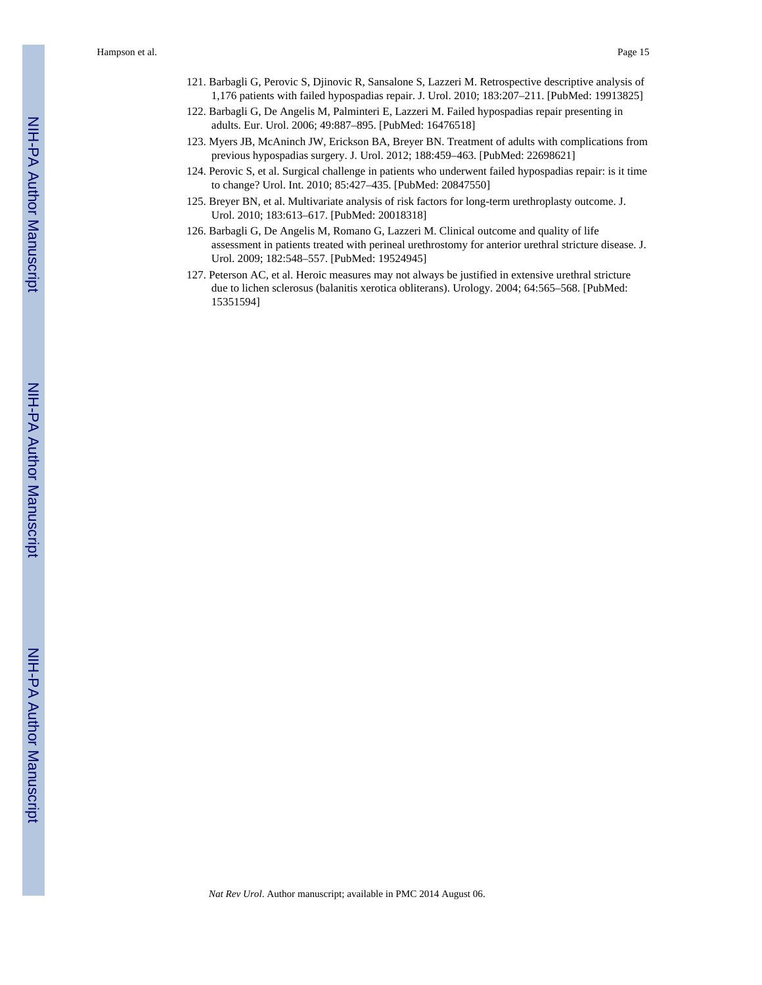- 121. Barbagli G, Perovic S, Djinovic R, Sansalone S, Lazzeri M. Retrospective descriptive analysis of 1,176 patients with failed hypospadias repair. J. Urol. 2010; 183:207–211. [PubMed: 19913825]
- 122. Barbagli G, De Angelis M, Palminteri E, Lazzeri M. Failed hypospadias repair presenting in adults. Eur. Urol. 2006; 49:887–895. [PubMed: 16476518]
- 123. Myers JB, McAninch JW, Erickson BA, Breyer BN. Treatment of adults with complications from previous hypospadias surgery. J. Urol. 2012; 188:459–463. [PubMed: 22698621]
- 124. Perovic S, et al. Surgical challenge in patients who underwent failed hypospadias repair: is it time to change? Urol. Int. 2010; 85:427–435. [PubMed: 20847550]
- 125. Breyer BN, et al. Multivariate analysis of risk factors for long-term urethroplasty outcome. J. Urol. 2010; 183:613–617. [PubMed: 20018318]
- 126. Barbagli G, De Angelis M, Romano G, Lazzeri M. Clinical outcome and quality of life assessment in patients treated with perineal urethrostomy for anterior urethral stricture disease. J. Urol. 2009; 182:548–557. [PubMed: 19524945]
- 127. Peterson AC, et al. Heroic measures may not always be justified in extensive urethral stricture due to lichen sclerosus (balanitis xerotica obliterans). Urology. 2004; 64:565–568. [PubMed: 15351594]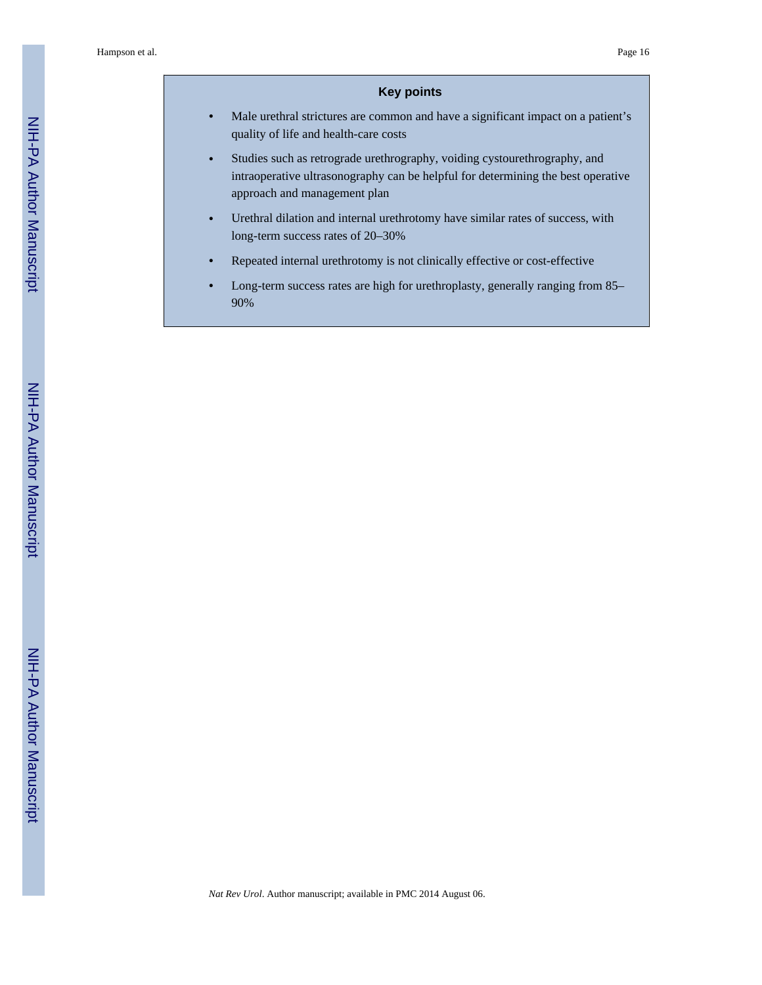#### **Key points**

- **•** Male urethral strictures are common and have a significant impact on a patient's quality of life and health-care costs
- **•** Studies such as retrograde urethrography, voiding cystourethrography, and intraoperative ultrasonography can be helpful for determining the best operative approach and management plan
- **•** Urethral dilation and internal urethrotomy have similar rates of success, with long-term success rates of 20–30%
- **•** Repeated internal urethrotomy is not clinically effective or cost-effective
- **•** Long-term success rates are high for urethroplasty, generally ranging from 85– 90%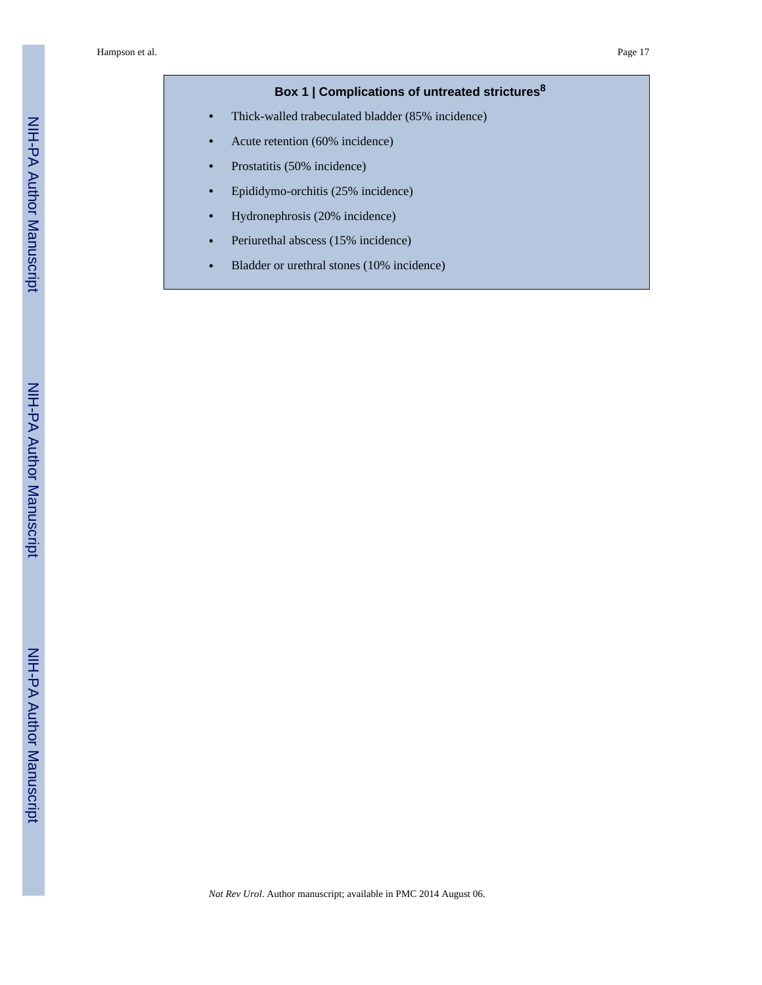#### **Box 1 | Complications of untreated strictures 8**

- **•** Thick-walled trabeculated bladder (85% incidence)
- **•** Acute retention (60% incidence)
- Prostatitis (50% incidence)
- **•** Epididymo-orchitis (25% incidence)
- **•** Hydronephrosis (20% incidence)
- **•** Periurethal abscess (15% incidence)
- **•** Bladder or urethral stones (10% incidence)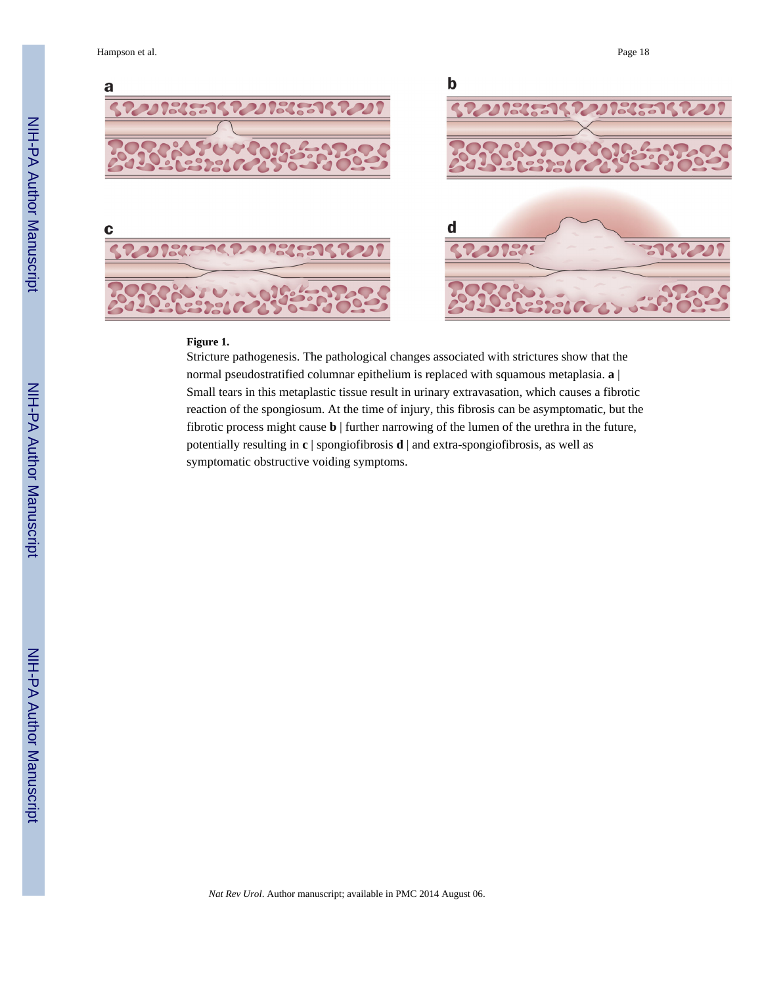

#### **Figure 1.**

Stricture pathogenesis. The pathological changes associated with strictures show that the normal pseudostratified columnar epithelium is replaced with squamous metaplasia. **a** | Small tears in this metaplastic tissue result in urinary extravasation, which causes a fibrotic reaction of the spongiosum. At the time of injury, this fibrosis can be asymptomatic, but the fibrotic process might cause **b** | further narrowing of the lumen of the urethra in the future, potentially resulting in **c** | spongiofibrosis **d** | and extra-spongiofibrosis, as well as symptomatic obstructive voiding symptoms.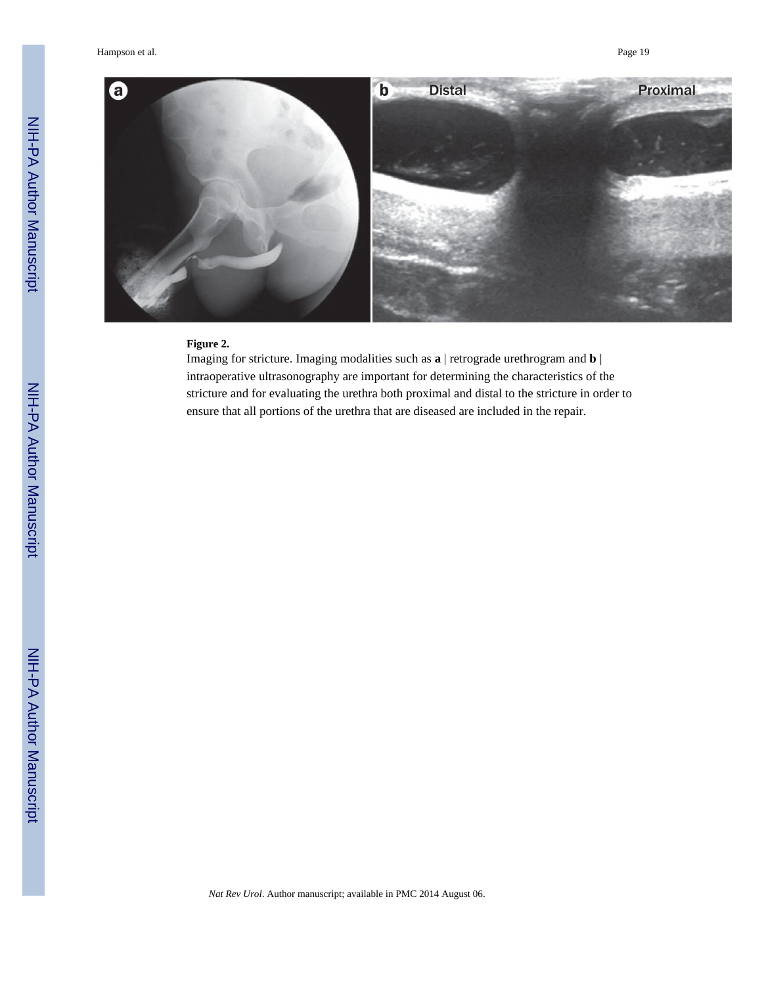Hampson et al. Page 19



#### **Figure 2.**

Imaging for stricture. Imaging modalities such as **a** | retrograde urethrogram and **b** | intraoperative ultrasonography are important for determining the characteristics of the stricture and for evaluating the urethra both proximal and distal to the stricture in order to ensure that all portions of the urethra that are diseased are included in the repair.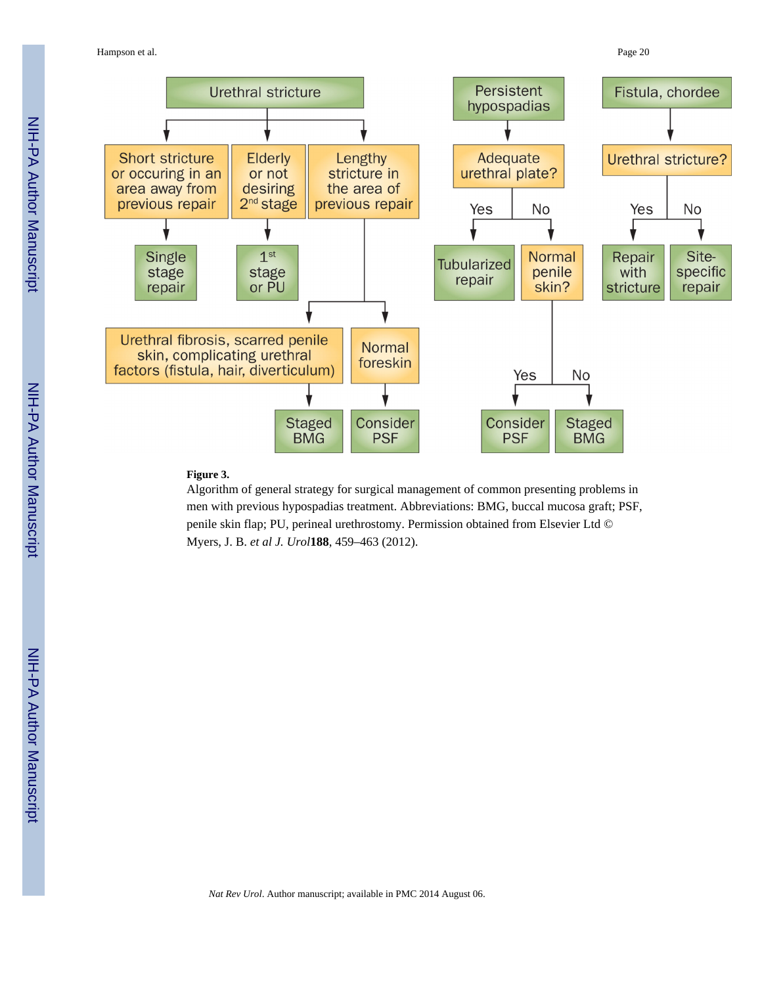

#### **Figure 3.**

Algorithm of general strategy for surgical management of common presenting problems in men with previous hypospadias treatment. Abbreviations: BMG, buccal mucosa graft; PSF, penile skin flap; PU, perineal urethrostomy. Permission obtained from Elsevier Ltd © Myers, J. B. *et al J. Urol***188**, 459–463 (2012).